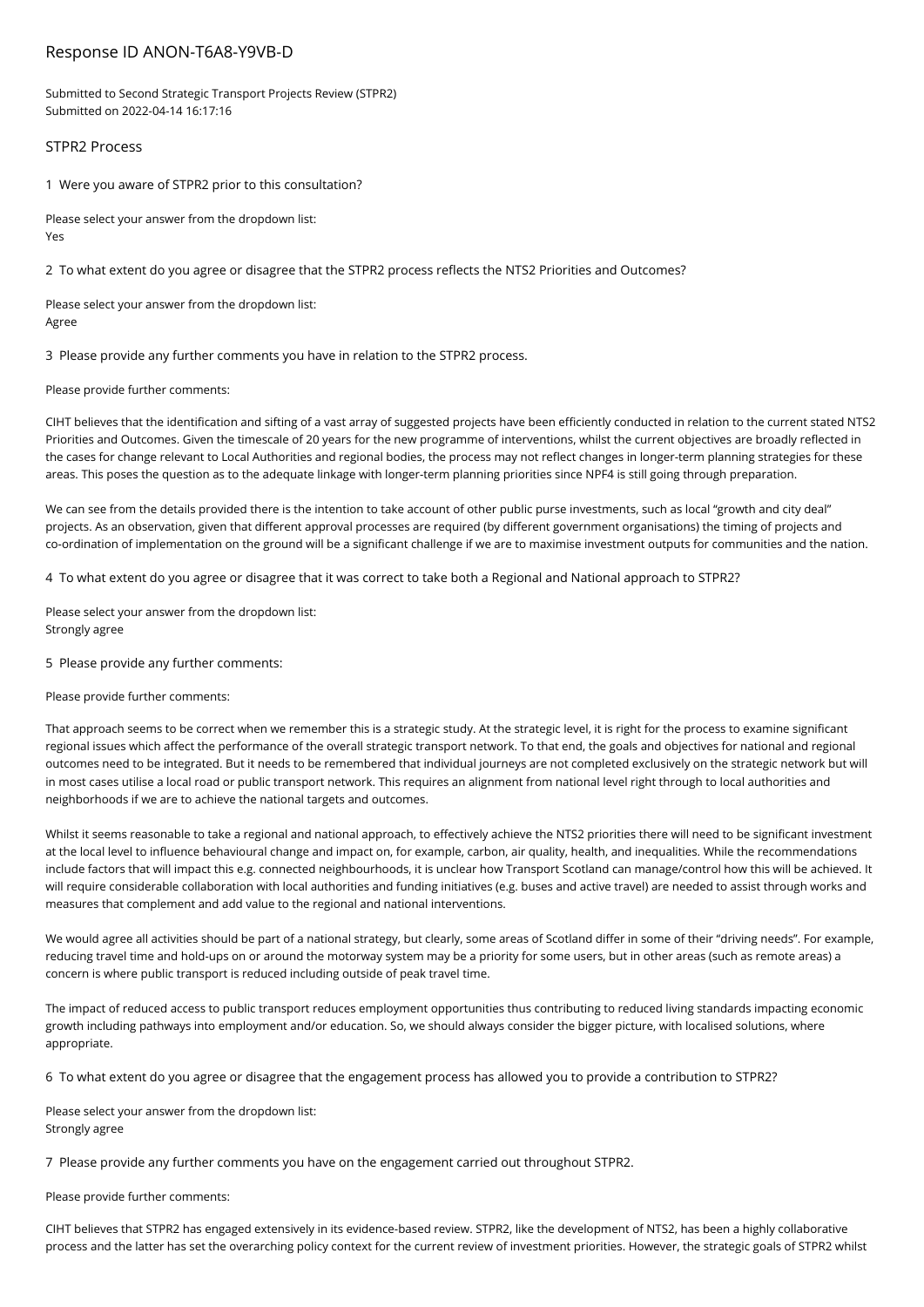# Response ID ANON-T6A8-Y9VB-D

Submitted to Second Strategic Transport Projects Review (STPR2) Submitted on 2022-04-14 16:17:16

### STPR2 Process

1 Were you aware of STPR2 prior to this consultation?

Please select your answer from the dropdown list: Yes

2 To what extent do you agree or disagree that the STPR2 process reflects the NTS2 Priorities and Outcomes?

Please select your answer from the dropdown list: Agree

3 Please provide any further comments you have in relation to the STPR2 process.

Please provide further comments:

CIHT believes that the identification and sifting of a vast array of suggested projects have been efficiently conducted in relation to the current stated NTS2 Priorities and Outcomes. Given the timescale of 20 years for the new programme of interventions, whilst the current objectives are broadly reflected in the cases for change relevant to Local Authorities and regional bodies, the process may not reflect changes in longer-term planning strategies for these areas. This poses the question as to the adequate linkage with longer-term planning priorities since NPF4 is still going through preparation.

We can see from the details provided there is the intention to take account of other public purse investments, such as local "growth and city deal" projects. As an observation, given that different approval processes are required (by different government organisations) the timing of projects and co-ordination of implementation on the ground will be a significant challenge if we are to maximise investment outputs for communities and the nation.

4 To what extent do you agree or disagree that it was correct to take both a Regional and National approach to STPR2?

Please select your answer from the dropdown list: Strongly agree

5 Please provide any further comments:

Please provide further comments:

That approach seems to be correct when we remember this is a strategic study. At the strategic level, it is right for the process to examine significant regional issues which affect the performance of the overall strategic transport network. To that end, the goals and objectives for national and regional outcomes need to be integrated. But it needs to be remembered that individual journeys are not completed exclusively on the strategic network but will in most cases utilise a local road or public transport network. This requires an alignment from national level right through to local authorities and neighborhoods if we are to achieve the national targets and outcomes.

Whilst it seems reasonable to take a regional and national approach, to effectively achieve the NTS2 priorities there will need to be significant investment at the local level to influence behavioural change and impact on, for example, carbon, air quality, health, and inequalities. While the recommendations include factors that will impact this e.g. connected neighbourhoods, it is unclear how Transport Scotland can manage/control how this will be achieved. It will require considerable collaboration with local authorities and funding initiatives (e.g. buses and active travel) are needed to assist through works and measures that complement and add value to the regional and national interventions.

We would agree all activities should be part of a national strategy, but clearly, some areas of Scotland differ in some of their "driving needs". For example, reducing travel time and hold-ups on or around the motorway system may be a priority for some users, but in other areas (such as remote areas) a concern is where public transport is reduced including outside of peak travel time.

The impact of reduced access to public transport reduces employment opportunities thus contributing to reduced living standards impacting economic growth including pathways into employment and/or education. So, we should always consider the bigger picture, with localised solutions, where appropriate.

6 To what extent do you agree or disagree that the engagement process has allowed you to provide a contribution to STPR2?

Please select your answer from the dropdown list: Strongly agree

7 Please provide any further comments you have on the engagement carried out throughout STPR2.

Please provide further comments:

CIHT believes that STPR2 has engaged extensively in its evidence-based review. STPR2, like the development of NTS2, has been a highly collaborative process and the latter has set the overarching policy context for the current review of investment priorities. However, the strategic goals of STPR2 whilst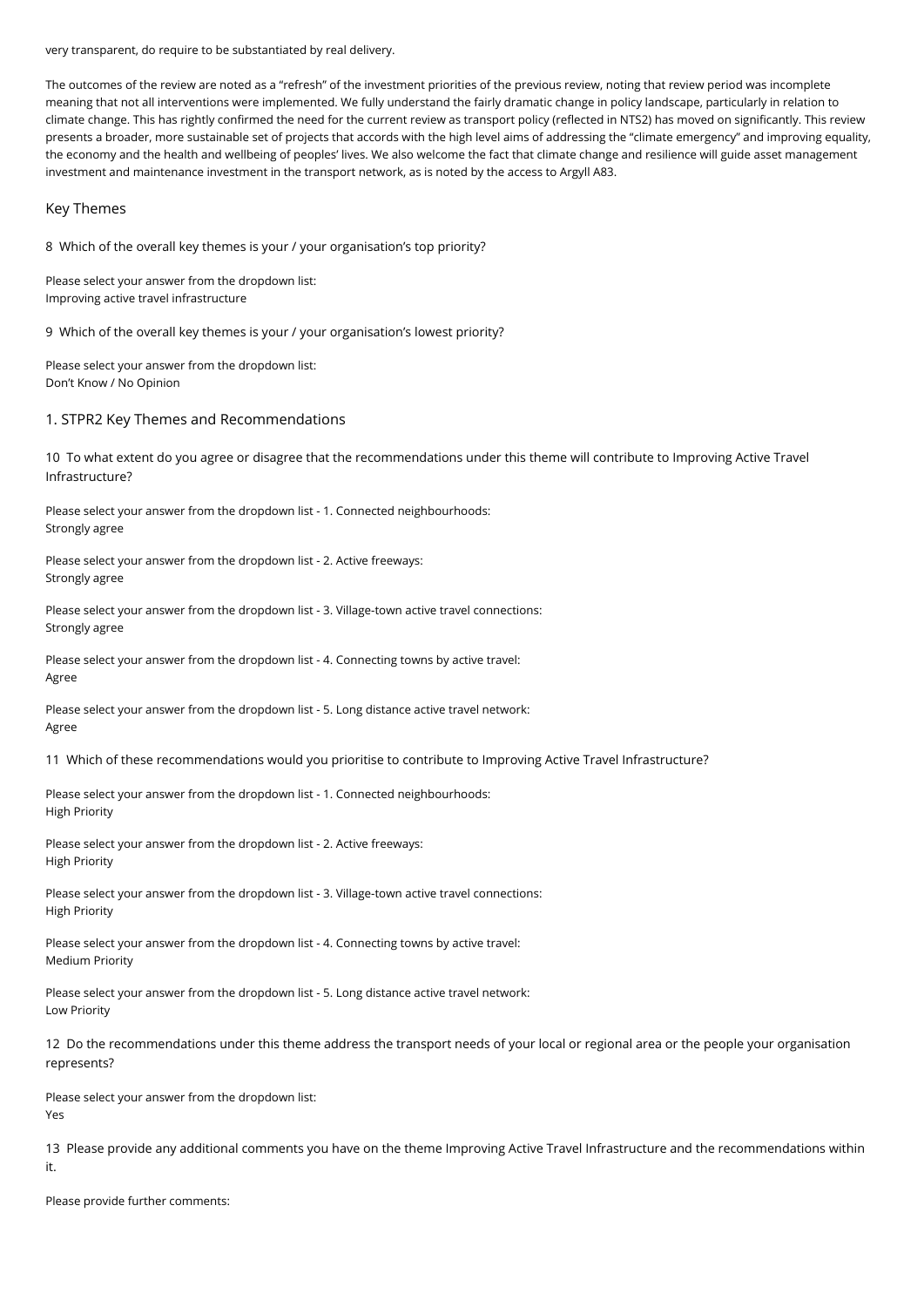very transparent, do require to be substantiated by real delivery.

The outcomes of the review are noted as a "refresh" of the investment priorities of the previous review, noting that review period was incomplete meaning that not all interventions were implemented. We fully understand the fairly dramatic change in policy landscape, particularly in relation to climate change. This has rightly confirmed the need for the current review as transport policy (reflected in NTS2) has moved on significantly. This review presents a broader, more sustainable set of projects that accords with the high level aims of addressing the "climate emergency" and improving equality, the economy and the health and wellbeing of peoples' lives. We also welcome the fact that climate change and resilience will guide asset management investment and maintenance investment in the transport network, as is noted by the access to Argyll A83.

#### Key Themes

8 Which of the overall key themes is your / your organisation's top priority?

Please select your answer from the dropdown list: Improving active travel infrastructure

9 Which of the overall key themes is your / your organisation's lowest priority?

Please select your answer from the dropdown list: Don't Know / No Opinion

### 1. STPR2 Key Themes and Recommendations

10 To what extent do you agree or disagree that the recommendations under this theme will contribute to Improving Active Travel Infrastructure?

Please select your answer from the dropdown list - 1. Connected neighbourhoods: Strongly agree

Please select your answer from the dropdown list - 2. Active freeways: Strongly agree

Please select your answer from the dropdown list - 3. Village-town active travel connections: Strongly agree

Please select your answer from the dropdown list - 4. Connecting towns by active travel: Agree

Please select your answer from the dropdown list - 5. Long distance active travel network: Agree

11 Which of these recommendations would you prioritise to contribute to Improving Active Travel Infrastructure?

Please select your answer from the dropdown list - 1. Connected neighbourhoods: High Priority

Please select your answer from the dropdown list - 2. Active freeways: High Priority

Please select your answer from the dropdown list - 3. Village-town active travel connections: High Priority

Please select your answer from the dropdown list - 4. Connecting towns by active travel: Medium Priority

Please select your answer from the dropdown list - 5. Long distance active travel network: Low Priority

12 Do the recommendations under this theme address the transport needs of your local or regional area or the people your organisation represents?

Please select your answer from the dropdown list: Yes

13 Please provide any additional comments you have on the theme Improving Active Travel Infrastructure and the recommendations within it.

Please provide further comments: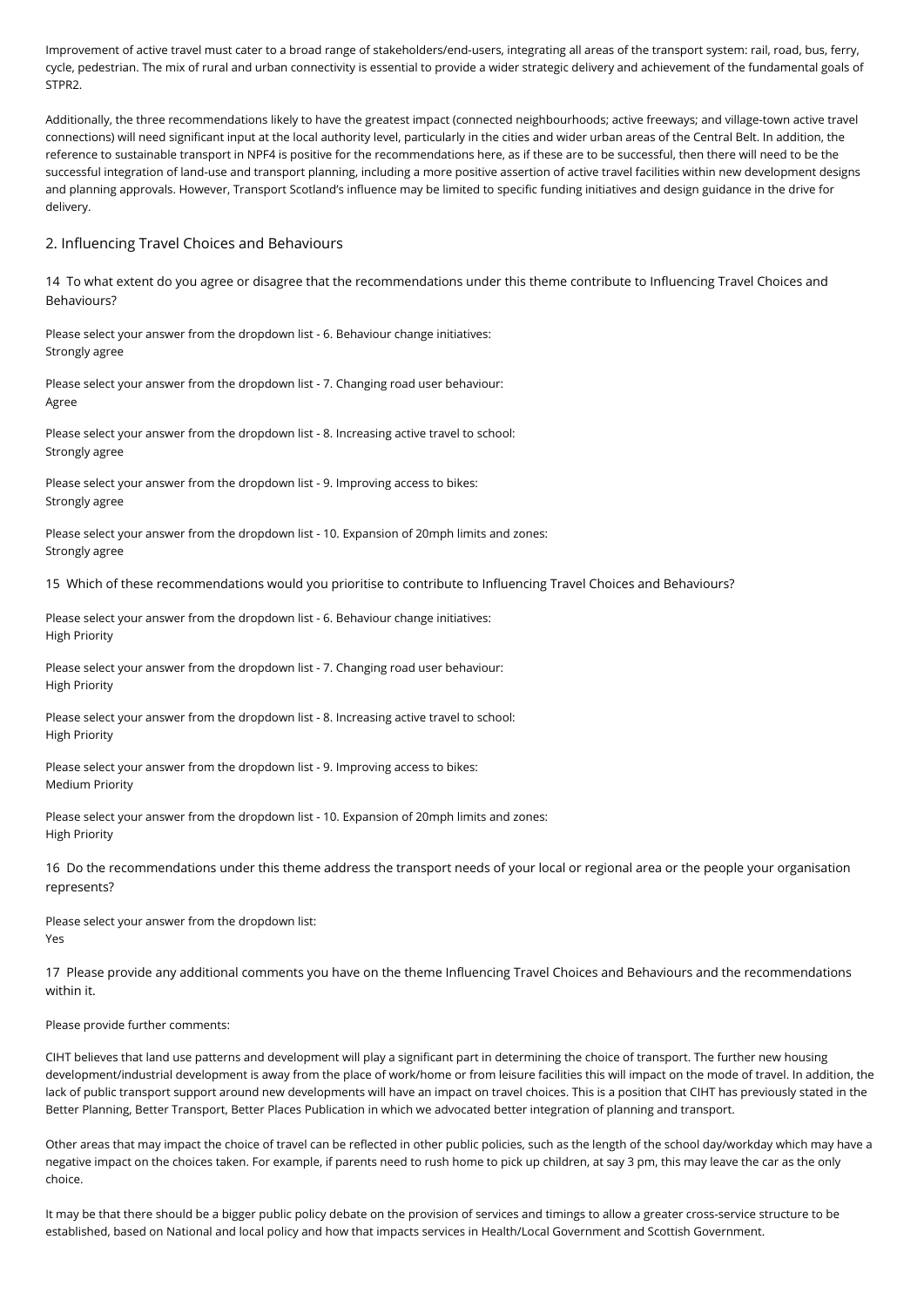Improvement of active travel must cater to a broad range of stakeholders/end-users, integrating all areas of the transport system: rail, road, bus, ferry, cycle, pedestrian. The mix of rural and urban connectivity is essential to provide a wider strategic delivery and achievement of the fundamental goals of STPR<sub>2</sub>

Additionally, the three recommendations likely to have the greatest impact (connected neighbourhoods; active freeways; and village-town active travel connections) will need significant input at the local authority level, particularly in the cities and wider urban areas of the Central Belt. In addition, the reference to sustainable transport in NPF4 is positive for the recommendations here, as if these are to be successful, then there will need to be the successful integration of land-use and transport planning, including a more positive assertion of active travel facilities within new development designs and planning approvals. However, Transport Scotland's influence may be limited to specific funding initiatives and design guidance in the drive for delivery.

#### 2. Influencing Travel Choices and Behaviours

14 To what extent do you agree or disagree that the recommendations under this theme contribute to Influencing Travel Choices and Behaviours?

Please select your answer from the dropdown list - 6. Behaviour change initiatives: Strongly agree

Please select your answer from the dropdown list - 7. Changing road user behaviour: Agree

Please select your answer from the dropdown list - 8. Increasing active travel to school: Strongly agree

Please select your answer from the dropdown list - 9. Improving access to bikes: Strongly agree

Please select your answer from the dropdown list - 10. Expansion of 20mph limits and zones: Strongly agree

15 Which of these recommendations would you prioritise to contribute to Influencing Travel Choices and Behaviours?

Please select your answer from the dropdown list - 6. Behaviour change initiatives: High Priority

Please select your answer from the dropdown list - 7. Changing road user behaviour: High Priority

Please select your answer from the dropdown list - 8. Increasing active travel to school: High Priority

Please select your answer from the dropdown list - 9. Improving access to bikes: Medium Priority

Please select your answer from the dropdown list - 10. Expansion of 20mph limits and zones: High Priority

16 Do the recommendations under this theme address the transport needs of your local or regional area or the people your organisation represents?

Please select your answer from the dropdown list: Yes

17 Please provide any additional comments you have on the theme Influencing Travel Choices and Behaviours and the recommendations within it.

#### Please provide further comments:

CIHT believes that land use patterns and development will play a significant part in determining the choice of transport. The further new housing development/industrial development is away from the place of work/home or from leisure facilities this will impact on the mode of travel. In addition, the lack of public transport support around new developments will have an impact on travel choices. This is a position that CIHT has previously stated in the Better Planning, Better Transport, Better Places Publication in which we advocated better integration of planning and transport.

Other areas that may impact the choice of travel can be reflected in other public policies, such as the length of the school day/workday which may have a negative impact on the choices taken. For example, if parents need to rush home to pick up children, at say 3 pm, this may leave the car as the only choice.

It may be that there should be a bigger public policy debate on the provision of services and timings to allow a greater cross-service structure to be established, based on National and local policy and how that impacts services in Health/Local Government and Scottish Government.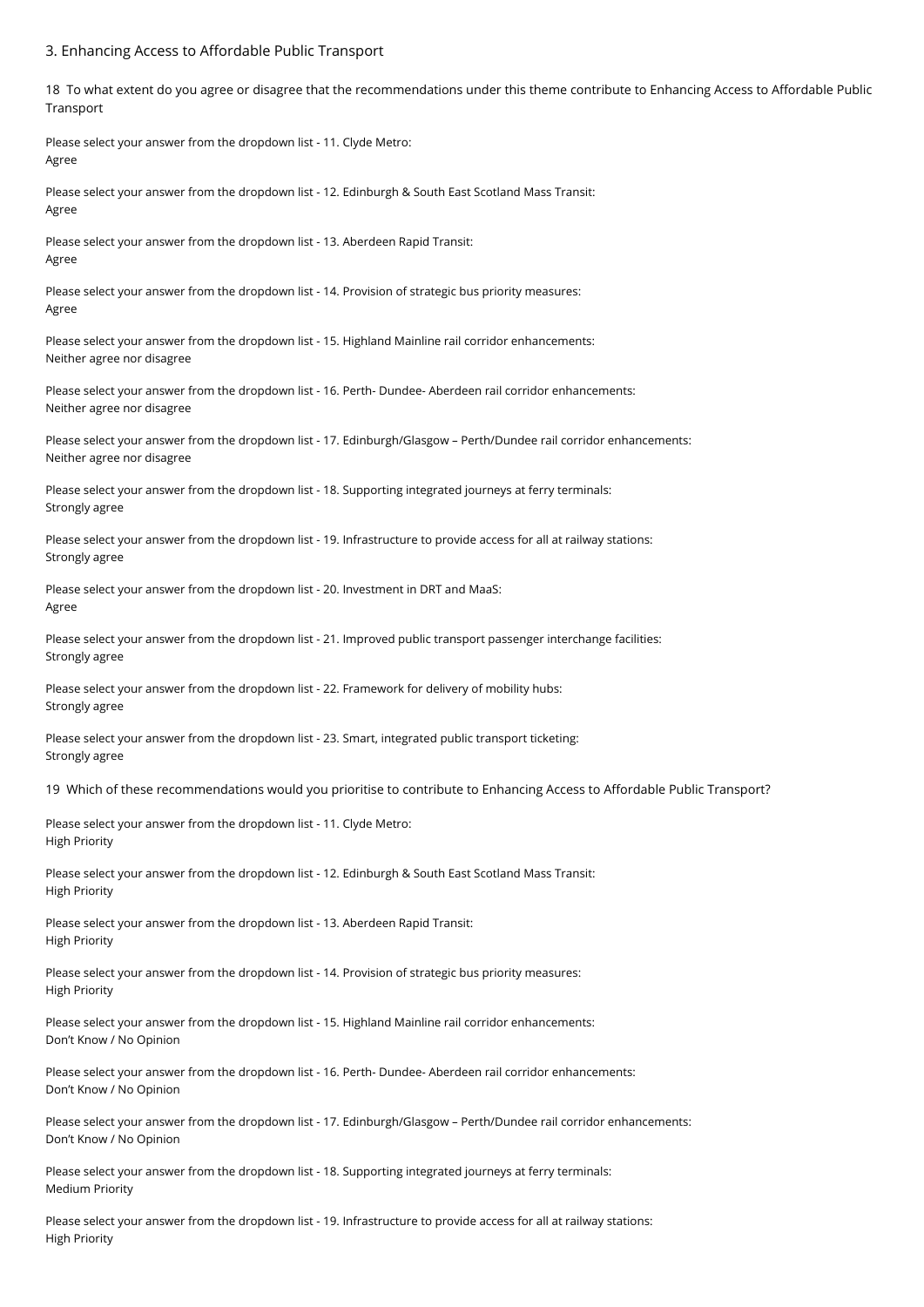#### 3. Enhancing Access to Affordable Public Transport

18 To what extent do you agree or disagree that the recommendations under this theme contribute to Enhancing Access to Affordable Public Transport

Please select your answer from the dropdown list - 11. Clyde Metro: Agree

Please select your answer from the dropdown list - 12. Edinburgh & South East Scotland Mass Transit: Agree

Please select your answer from the dropdown list - 13. Aberdeen Rapid Transit: Agree

Please select your answer from the dropdown list - 14. Provision of strategic bus priority measures: Agree

Please select your answer from the dropdown list - 15. Highland Mainline rail corridor enhancements: Neither agree nor disagree

Please select your answer from the dropdown list - 16. Perth- Dundee- Aberdeen rail corridor enhancements: Neither agree nor disagree

Please select your answer from the dropdown list - 17. Edinburgh/Glasgow – Perth/Dundee rail corridor enhancements: Neither agree nor disagree

Please select your answer from the dropdown list - 18. Supporting integrated journeys at ferry terminals: Strongly agree

Please select your answer from the dropdown list - 19. Infrastructure to provide access for all at railway stations: Strongly agree

Please select your answer from the dropdown list - 20. Investment in DRT and MaaS: Agree

Please select your answer from the dropdown list - 21. Improved public transport passenger interchange facilities: Strongly agree

Please select your answer from the dropdown list - 22. Framework for delivery of mobility hubs: Strongly agree

Please select your answer from the dropdown list - 23. Smart, integrated public transport ticketing: Strongly agree

19 Which of these recommendations would you prioritise to contribute to Enhancing Access to Affordable Public Transport?

Please select your answer from the dropdown list - 11. Clyde Metro: High Priority

Please select your answer from the dropdown list - 12. Edinburgh & South East Scotland Mass Transit: High Priority

Please select your answer from the dropdown list - 13. Aberdeen Rapid Transit: High Priority

Please select your answer from the dropdown list - 14. Provision of strategic bus priority measures: High Priority

Please select your answer from the dropdown list - 15. Highland Mainline rail corridor enhancements: Don't Know / No Opinion

Please select your answer from the dropdown list - 16. Perth- Dundee- Aberdeen rail corridor enhancements: Don't Know / No Opinion

Please select your answer from the dropdown list - 17. Edinburgh/Glasgow – Perth/Dundee rail corridor enhancements: Don't Know / No Opinion

Please select your answer from the dropdown list - 18. Supporting integrated journeys at ferry terminals: Medium Priority

Please select your answer from the dropdown list - 19. Infrastructure to provide access for all at railway stations: High Priority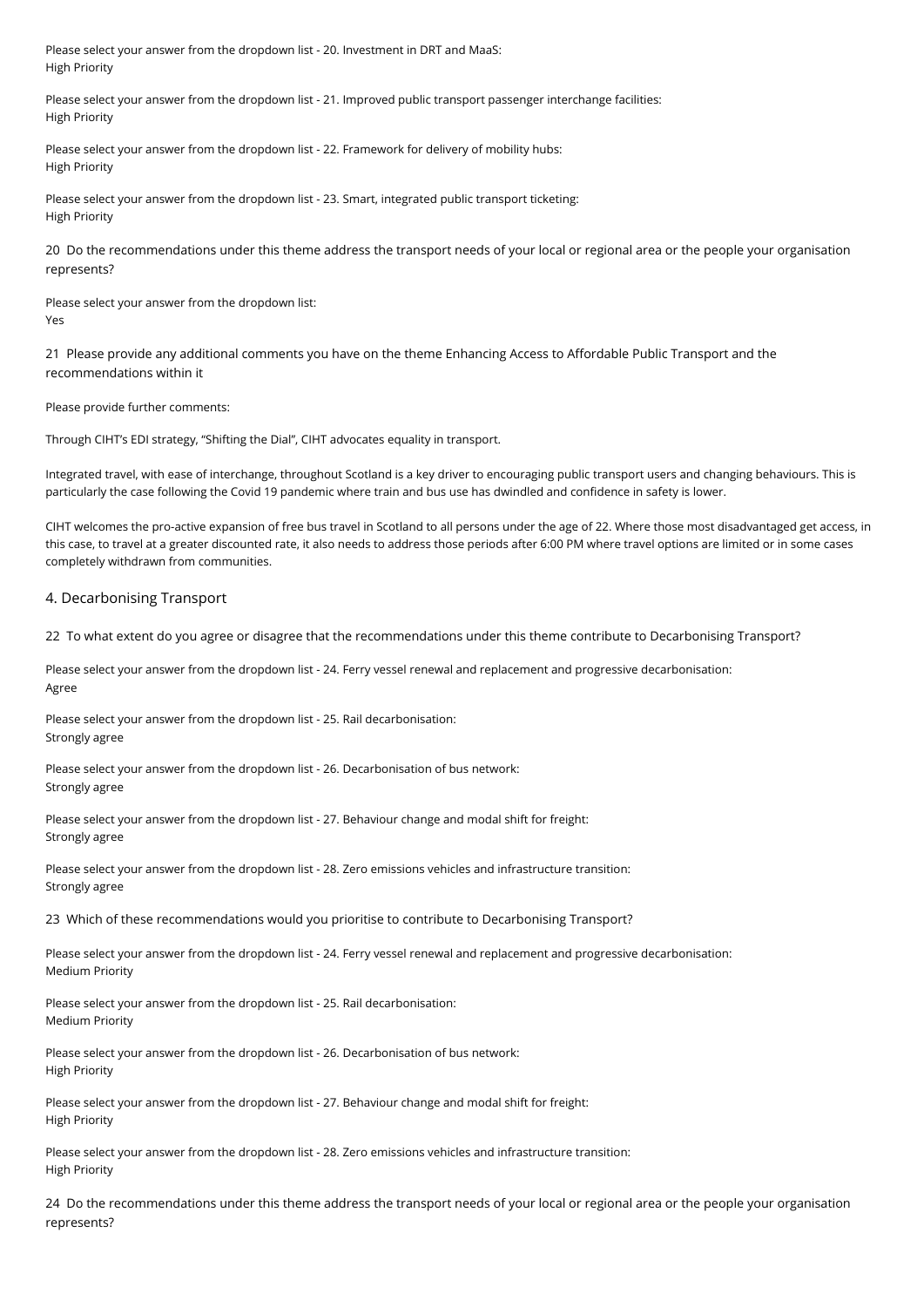Please select your answer from the dropdown list - 20. Investment in DRT and MaaS: High Priority

Please select your answer from the dropdown list - 21. Improved public transport passenger interchange facilities: High Priority

Please select your answer from the dropdown list - 22. Framework for delivery of mobility hubs: High Priority

Please select your answer from the dropdown list - 23. Smart, integrated public transport ticketing: High Priority

20 Do the recommendations under this theme address the transport needs of your local or regional area or the people your organisation represents?

Please select your answer from the dropdown list: Yes

21 Please provide any additional comments you have on the theme Enhancing Access to Affordable Public Transport and the recommendations within it

Please provide further comments:

Through CIHT's EDI strategy, "Shifting the Dial", CIHT advocates equality in transport.

Integrated travel, with ease of interchange, throughout Scotland is a key driver to encouraging public transport users and changing behaviours. This is particularly the case following the Covid 19 pandemic where train and bus use has dwindled and confidence in safety is lower.

CIHT welcomes the pro-active expansion of free bus travel in Scotland to all persons under the age of 22. Where those most disadvantaged get access, in this case, to travel at a greater discounted rate, it also needs to address those periods after 6:00 PM where travel options are limited or in some cases completely withdrawn from communities.

#### 4. Decarbonising Transport

22 To what extent do you agree or disagree that the recommendations under this theme contribute to Decarbonising Transport?

Please select your answer from the dropdown list - 24. Ferry vessel renewal and replacement and progressive decarbonisation: Agree

Please select your answer from the dropdown list - 25. Rail decarbonisation: Strongly agree

Please select your answer from the dropdown list - 26. Decarbonisation of bus network: Strongly agree

Please select your answer from the dropdown list - 27. Behaviour change and modal shift for freight: Strongly agree

Please select your answer from the dropdown list - 28. Zero emissions vehicles and infrastructure transition: Strongly agree

23 Which of these recommendations would you prioritise to contribute to Decarbonising Transport?

Please select your answer from the dropdown list - 24. Ferry vessel renewal and replacement and progressive decarbonisation: Medium Priority

Please select your answer from the dropdown list - 25. Rail decarbonisation: Medium Priority

Please select your answer from the dropdown list - 26. Decarbonisation of bus network: High Priority

Please select your answer from the dropdown list - 27. Behaviour change and modal shift for freight: High Priority

Please select your answer from the dropdown list - 28. Zero emissions vehicles and infrastructure transition: High Priority

24 Do the recommendations under this theme address the transport needs of your local or regional area or the people your organisation represents?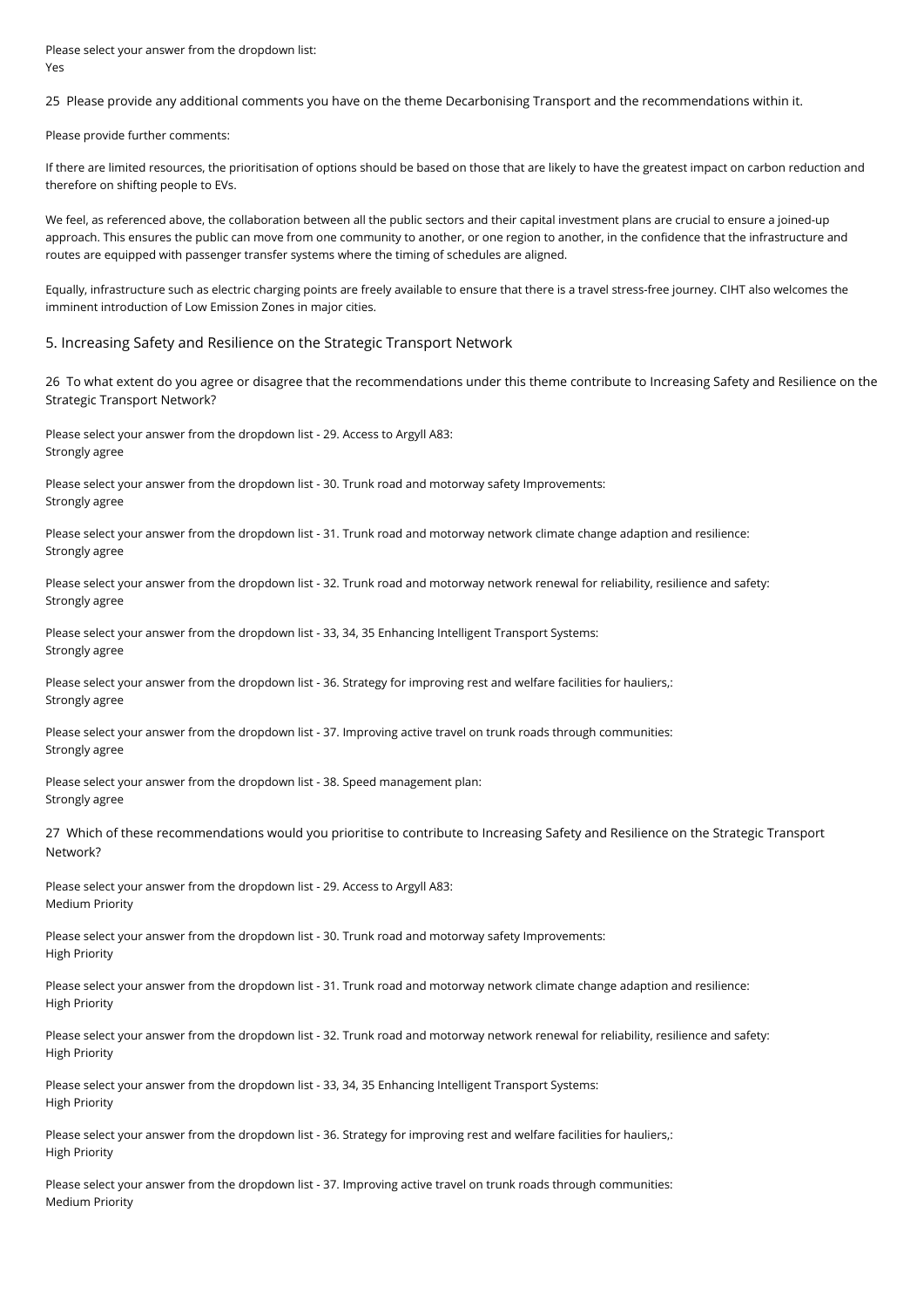Please select your answer from the dropdown list: Yes

25 Please provide any additional comments you have on the theme Decarbonising Transport and the recommendations within it.

Please provide further comments:

If there are limited resources, the prioritisation of options should be based on those that are likely to have the greatest impact on carbon reduction and therefore on shifting people to EVs.

We feel, as referenced above, the collaboration between all the public sectors and their capital investment plans are crucial to ensure a joined-up approach. This ensures the public can move from one community to another, or one region to another, in the confidence that the infrastructure and routes are equipped with passenger transfer systems where the timing of schedules are aligned.

Equally, infrastructure such as electric charging points are freely available to ensure that there is a travel stress-free journey. CIHT also welcomes the imminent introduction of Low Emission Zones in major cities.

#### 5. Increasing Safety and Resilience on the Strategic Transport Network

26 To what extent do you agree or disagree that the recommendations under this theme contribute to Increasing Safety and Resilience on the Strategic Transport Network?

Please select your answer from the dropdown list - 29. Access to Argyll A83: Strongly agree

Please select your answer from the dropdown list - 30. Trunk road and motorway safety Improvements: Strongly agree

Please select your answer from the dropdown list - 31. Trunk road and motorway network climate change adaption and resilience: Strongly agree

Please select your answer from the dropdown list - 32. Trunk road and motorway network renewal for reliability, resilience and safety: Strongly agree

Please select your answer from the dropdown list - 33, 34, 35 Enhancing Intelligent Transport Systems: Strongly agree

Please select your answer from the dropdown list - 36. Strategy for improving rest and welfare facilities for hauliers,: Strongly agree

Please select your answer from the dropdown list - 37. Improving active travel on trunk roads through communities: Strongly agree

Please select your answer from the dropdown list - 38. Speed management plan: Strongly agree

27 Which of these recommendations would you prioritise to contribute to Increasing Safety and Resilience on the Strategic Transport Network?

Please select your answer from the dropdown list - 29. Access to Argyll A83: Medium Priority

Please select your answer from the dropdown list - 30. Trunk road and motorway safety Improvements: High Priority

Please select your answer from the dropdown list - 31. Trunk road and motorway network climate change adaption and resilience: High Priority

Please select your answer from the dropdown list - 32. Trunk road and motorway network renewal for reliability, resilience and safety: High Priority

Please select your answer from the dropdown list - 33, 34, 35 Enhancing Intelligent Transport Systems: High Priority

Please select your answer from the dropdown list - 36. Strategy for improving rest and welfare facilities for hauliers,: High Priority

Please select your answer from the dropdown list - 37. Improving active travel on trunk roads through communities: Medium Priority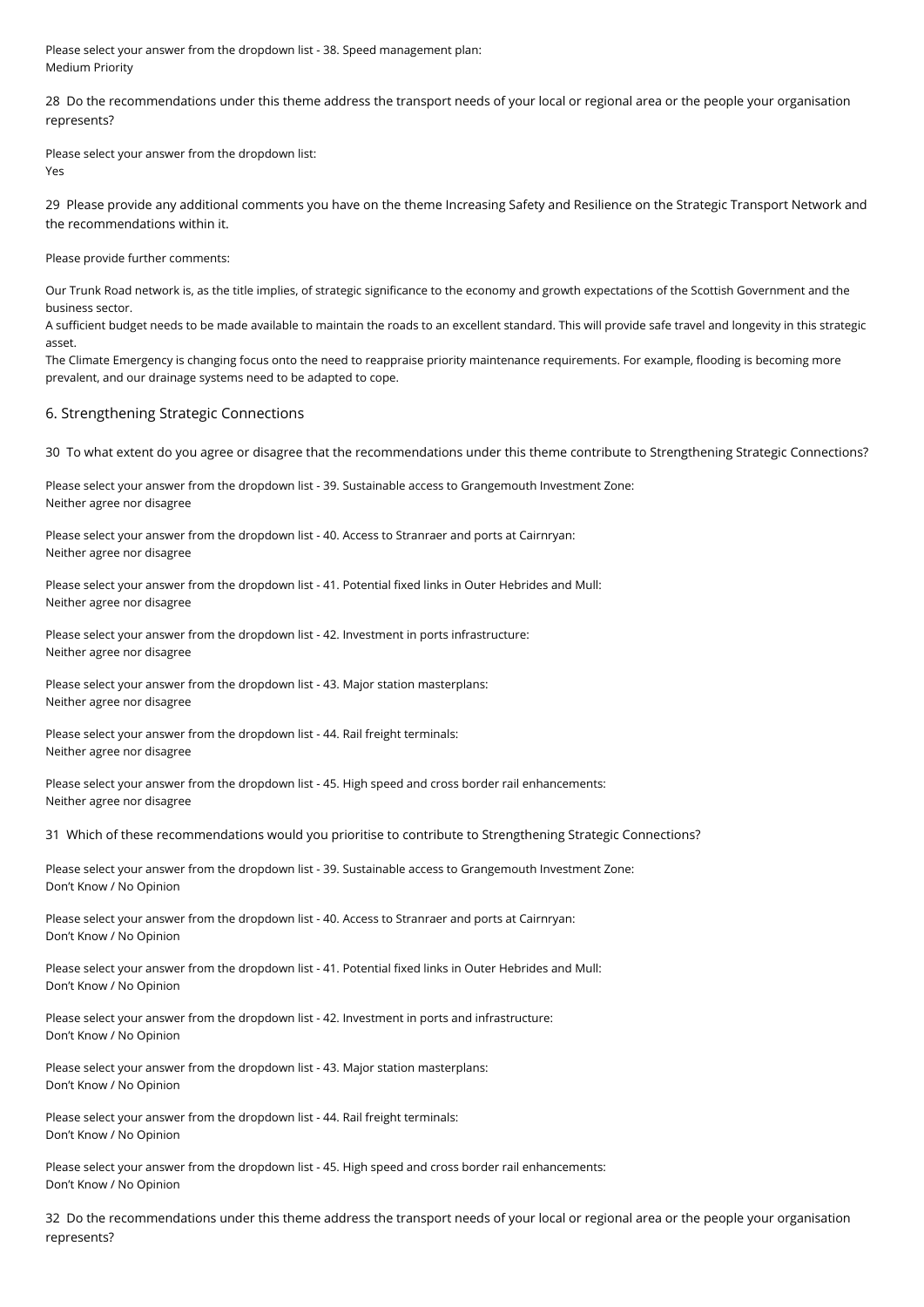Please select your answer from the dropdown list - 38. Speed management plan: Medium Priority

28 Do the recommendations under this theme address the transport needs of your local or regional area or the people your organisation represents?

Please select your answer from the dropdown list: Yes

29 Please provide any additional comments you have on the theme Increasing Safety and Resilience on the Strategic Transport Network and the recommendations within it.

Please provide further comments:

Our Trunk Road network is, as the title implies, of strategic significance to the economy and growth expectations of the Scottish Government and the business sector.

A sufficient budget needs to be made available to maintain the roads to an excellent standard. This will provide safe travel and longevity in this strategic asset.

The Climate Emergency is changing focus onto the need to reappraise priority maintenance requirements. For example, flooding is becoming more prevalent, and our drainage systems need to be adapted to cope.

#### 6. Strengthening Strategic Connections

30 To what extent do you agree or disagree that the recommendations under this theme contribute to Strengthening Strategic Connections?

Please select your answer from the dropdown list - 39. Sustainable access to Grangemouth Investment Zone: Neither agree nor disagree

Please select your answer from the dropdown list - 40. Access to Stranraer and ports at Cairnryan: Neither agree nor disagree

Please select your answer from the dropdown list - 41. Potential fixed links in Outer Hebrides and Mull: Neither agree nor disagree

Please select your answer from the dropdown list - 42. Investment in ports infrastructure: Neither agree nor disagree

Please select your answer from the dropdown list - 43. Major station masterplans: Neither agree nor disagree

Please select your answer from the dropdown list - 44. Rail freight terminals: Neither agree nor disagree

Please select your answer from the dropdown list - 45. High speed and cross border rail enhancements: Neither agree nor disagree

31 Which of these recommendations would you prioritise to contribute to Strengthening Strategic Connections?

Please select your answer from the dropdown list - 39. Sustainable access to Grangemouth Investment Zone: Don't Know / No Opinion

Please select your answer from the dropdown list - 40. Access to Stranraer and ports at Cairnryan: Don't Know / No Opinion

Please select your answer from the dropdown list - 41. Potential fixed links in Outer Hebrides and Mull: Don't Know / No Opinion

Please select your answer from the dropdown list - 42. Investment in ports and infrastructure: Don't Know / No Opinion

Please select your answer from the dropdown list - 43. Major station masterplans: Don't Know / No Opinion

Please select your answer from the dropdown list - 44. Rail freight terminals: Don't Know / No Opinion

Please select your answer from the dropdown list - 45. High speed and cross border rail enhancements: Don't Know / No Opinion

32 Do the recommendations under this theme address the transport needs of your local or regional area or the people your organisation represents?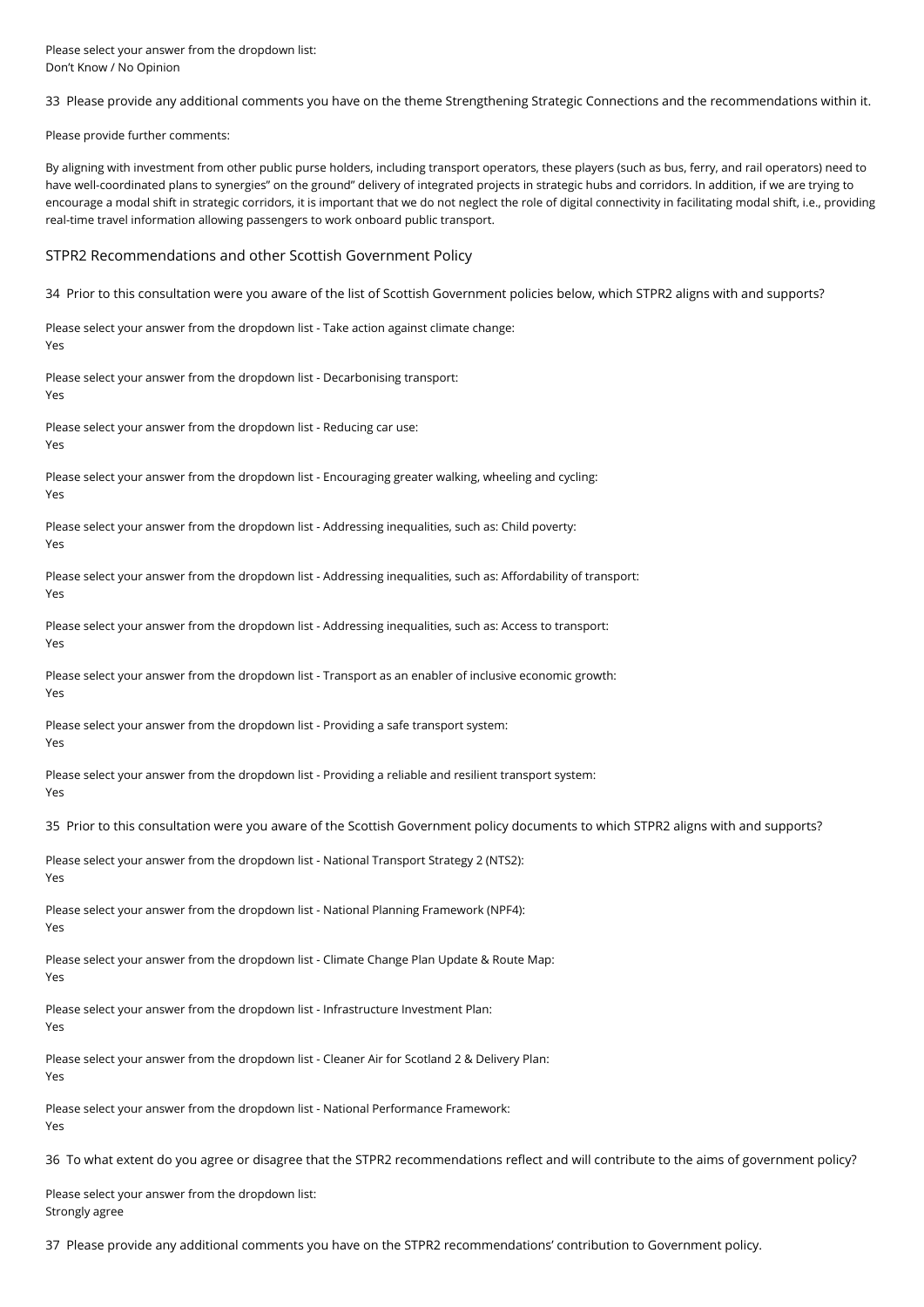Please select your answer from the dropdown list: Don't Know / No Opinion

33 Please provide any additional comments you have on the theme Strengthening Strategic Connections and the recommendations within it.

Please provide further comments:

By aligning with investment from other public purse holders, including transport operators, these players (such as bus, ferry, and rail operators) need to have well-coordinated plans to synergies" on the ground" delivery of integrated projects in strategic hubs and corridors. In addition, if we are trying to encourage a modal shift in strategic corridors, it is important that we do not neglect the role of digital connectivity in facilitating modal shift, i.e., providing real-time travel information allowing passengers to work onboard public transport.

#### STPR2 Recommendations and other Scottish Government Policy

34 Prior to this consultation were you aware of the list of Scottish Government policies below, which STPR2 aligns with and supports?

Please select your answer from the dropdown list - Take action against climate change: Yes

Please select your answer from the dropdown list - Decarbonising transport:

Yes

Please select your answer from the dropdown list - Reducing car use:

Yes

Please select your answer from the dropdown list - Encouraging greater walking, wheeling and cycling: Yes

Please select your answer from the dropdown list - Addressing inequalities, such as: Child poverty: Yes

Please select your answer from the dropdown list - Addressing inequalities, such as: Affordability of transport: Yes

Please select your answer from the dropdown list - Addressing inequalities, such as: Access to transport: Yes

Please select your answer from the dropdown list - Transport as an enabler of inclusive economic growth: Yes

Please select your answer from the dropdown list - Providing a safe transport system: Yes

Please select your answer from the dropdown list - Providing a reliable and resilient transport system: Yes

35 Prior to this consultation were you aware of the Scottish Government policy documents to which STPR2 aligns with and supports?

Please select your answer from the dropdown list - National Transport Strategy 2 (NTS2): Yes

Please select your answer from the dropdown list - National Planning Framework (NPF4): Yes

Please select your answer from the dropdown list - Climate Change Plan Update & Route Map: Yes

Please select your answer from the dropdown list - Infrastructure Investment Plan: Yes

Please select your answer from the dropdown list - Cleaner Air for Scotland 2 & Delivery Plan: Yes

Please select your answer from the dropdown list - National Performance Framework: Yes

36 To what extent do you agree or disagree that the STPR2 recommendations reflect and will contribute to the aims of government policy?

Please select your answer from the dropdown list: Strongly agree

37 Please provide any additional comments you have on the STPR2 recommendations' contribution to Government policy.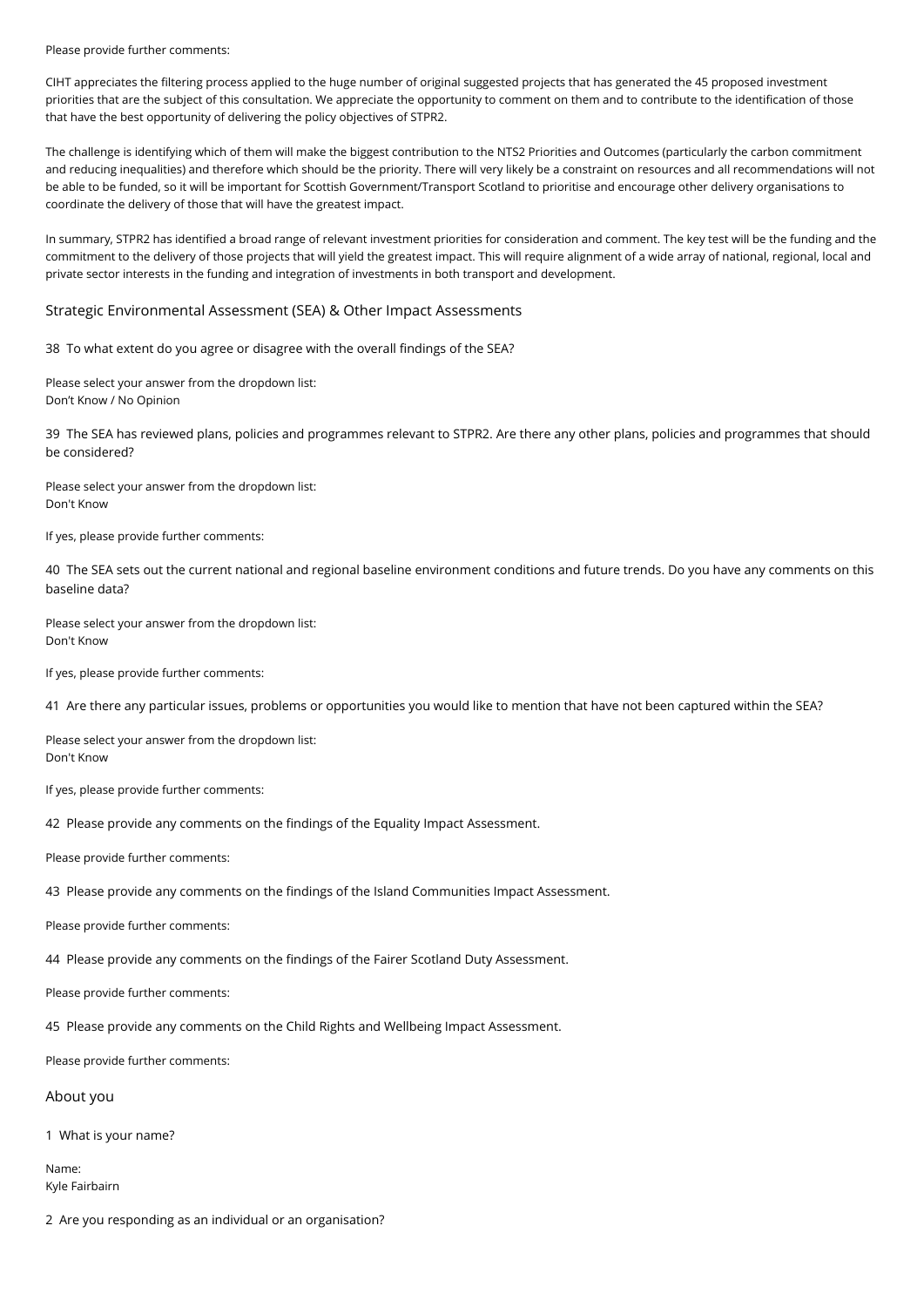#### Please provide further comments:

CIHT appreciates the filtering process applied to the huge number of original suggested projects that has generated the 45 proposed investment priorities that are the subject of this consultation. We appreciate the opportunity to comment on them and to contribute to the identification of those that have the best opportunity of delivering the policy objectives of STPR2.

The challenge is identifying which of them will make the biggest contribution to the NTS2 Priorities and Outcomes (particularly the carbon commitment and reducing inequalities) and therefore which should be the priority. There will very likely be a constraint on resources and all recommendations will not be able to be funded, so it will be important for Scottish Government/Transport Scotland to prioritise and encourage other delivery organisations to coordinate the delivery of those that will have the greatest impact.

In summary, STPR2 has identified a broad range of relevant investment priorities for consideration and comment. The key test will be the funding and the commitment to the delivery of those projects that will yield the greatest impact. This will require alignment of a wide array of national, regional, local and private sector interests in the funding and integration of investments in both transport and development.

#### Strategic Environmental Assessment (SEA) & Other Impact Assessments

38 To what extent do you agree or disagree with the overall findings of the SEA?

Please select your answer from the dropdown list: Don't Know / No Opinion

39 The SEA has reviewed plans, policies and programmes relevant to STPR2. Are there any other plans, policies and programmes that should be considered?

Please select your answer from the dropdown list: Don't Know

If yes, please provide further comments:

40 The SEA sets out the current national and regional baseline environment conditions and future trends. Do you have any comments on this baseline data?

Please select your answer from the dropdown list: Don't Know

If yes, please provide further comments:

41 Are there any particular issues, problems or opportunities you would like to mention that have not been captured within the SEA?

Please select your answer from the dropdown list: Don't Know

If yes, please provide further comments:

42 Please provide any comments on the findings of the Equality Impact Assessment.

Please provide further comments:

43 Please provide any comments on the findings of the Island Communities Impact Assessment.

Please provide further comments:

44 Please provide any comments on the findings of the Fairer Scotland Duty Assessment.

Please provide further comments:

45 Please provide any comments on the Child Rights and Wellbeing Impact Assessment.

Please provide further comments:

#### About you

1 What is your name?

Name: Kyle Fairbairn

2 Are you responding as an individual or an organisation?